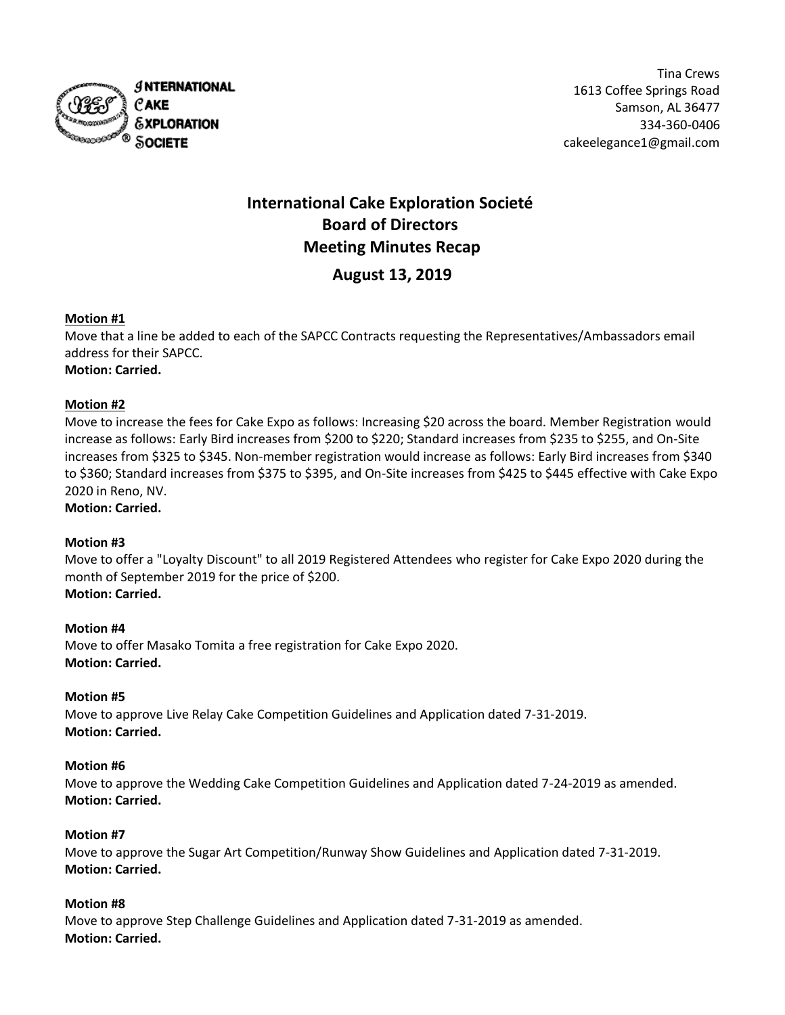

Tina Crews 1613 Coffee Springs Road Samson, AL 36477 334-360-0406 cakeelegance1@gmail.com

# **International Cake Exploration Societé Board of Directors Meeting Minutes Recap**

## **August 13, 2019**

### **Motion #1**

Move that a line be added to each of the SAPCC Contracts requesting the Representatives/Ambassadors email address for their SAPCC. **Motion: Carried.**

#### **Motion #2**

Move to increase the fees for Cake Expo as follows: Increasing \$20 across the board. Member Registration would increase as follows: Early Bird increases from \$200 to \$220; Standard increases from \$235 to \$255, and On-Site increases from \$325 to \$345. Non-member registration would increase as follows: Early Bird increases from \$340 to \$360; Standard increases from \$375 to \$395, and On-Site increases from \$425 to \$445 effective with Cake Expo 2020 in Reno, NV.

## **Motion: Carried.**

#### **Motion #3**

Move to offer a "Loyalty Discount" to all 2019 Registered Attendees who register for Cake Expo 2020 during the month of September 2019 for the price of \$200. **Motion: Carried.**

#### **Motion #4**

Move to offer Masako Tomita a free registration for Cake Expo 2020. **Motion: Carried.**

#### **Motion #5**

Move to approve Live Relay Cake Competition Guidelines and Application dated 7-31-2019. **Motion: Carried.**

#### **Motion #6**

Move to approve the Wedding Cake Competition Guidelines and Application dated 7-24-2019 as amended. **Motion: Carried.**

#### **Motion #7**

Move to approve the Sugar Art Competition/Runway Show Guidelines and Application dated 7-31-2019. **Motion: Carried.**

#### **Motion #8**

Move to approve Step Challenge Guidelines and Application dated 7-31-2019 as amended. **Motion: Carried.**